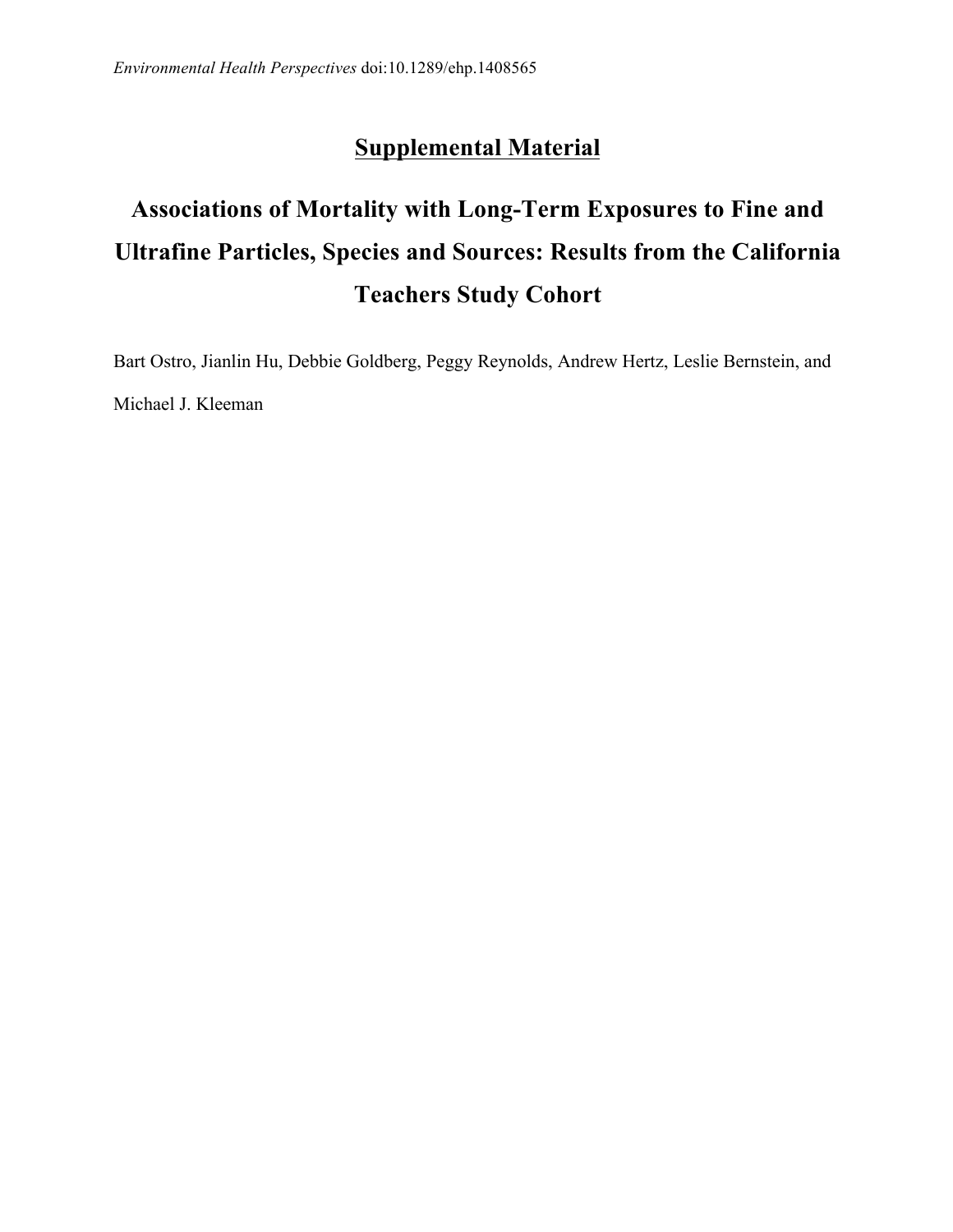## **Supplemental Material**

## **Associations of Mortality with Long-Term Exposures to Fine and Ultrafine Particles, Species and Sources: Results from the California Teachers Study Cohort**

 Bart Ostro, Jianlin Hu, Debbie Goldberg, Peggy Reynolds, Andrew Hertz, Leslie Bernstein, and Michael J. Kleeman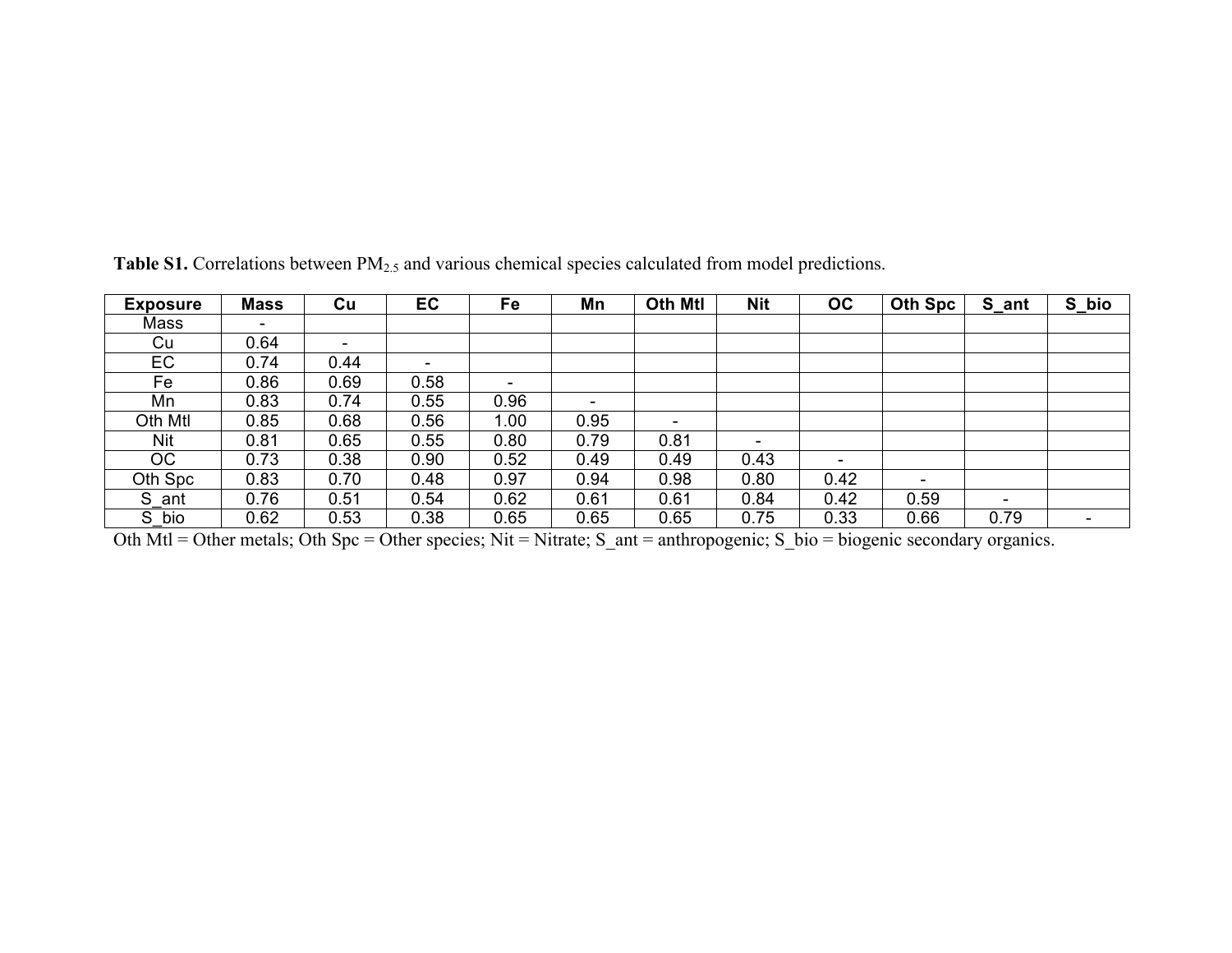| <b>Exposure</b> | <b>Mass</b> | Cu   | EC   | Fe   | Mn                       | <b>Oth Mtl</b>           | <b>Nit</b> | OC                       | <b>Oth Spc</b>           | S_ant                    | S_bio                    |
|-----------------|-------------|------|------|------|--------------------------|--------------------------|------------|--------------------------|--------------------------|--------------------------|--------------------------|
| Mass            | ۰           |      |      |      |                          |                          |            |                          |                          |                          |                          |
| Cu              | 0.64        | ٠.   |      |      |                          |                          |            |                          |                          |                          |                          |
| EC              | 0.74        | 0.44 | ۰    |      |                          |                          |            |                          |                          |                          |                          |
| Fe              | 0.86        | 0.69 | 0.58 | ۰    |                          |                          |            |                          |                          |                          |                          |
| Mn              | 0.83        | 0.74 | 0.55 | 0.96 | $\overline{\phantom{0}}$ |                          |            |                          |                          |                          |                          |
| Oth Mtl         | 0.85        | 0.68 | 0.56 | 1.00 | 0.95                     | $\overline{\phantom{0}}$ |            |                          |                          |                          |                          |
| Nit             | 0.81        | 0.65 | 0.55 | 0.80 | 0.79                     | 0.81                     |            |                          |                          |                          |                          |
| ОC              | 0.73        | 0.38 | 0.90 | 0.52 | 0.49                     | 0.49                     | 0.43       | $\overline{\phantom{0}}$ |                          |                          |                          |
| Oth Spc         | 0.83        | 0.70 | 0.48 | 0.97 | 0.94                     | 0.98                     | 0.80       | 0.42                     | $\overline{\phantom{a}}$ |                          |                          |
| S ant           | 0.76        | 0.51 | 0.54 | 0.62 | 0.61                     | 0.61                     | 0.84       | 0.42                     | 0.59                     | $\overline{\phantom{0}}$ |                          |
| S bio           | 0.62        | 0.53 | 0.38 | 0.65 | 0.65                     | 0.65                     | 0.75       | 0.33                     | 0.66                     | 0.79                     | $\overline{\phantom{a}}$ |

Table S1. Correlations between PM<sub>2.5</sub> and various chemical species calculated from model predictions.

Oth Mtl = Other metals; Oth Spc = Other species; Nit = Nitrate; S\_ant = anthropogenic; S\_bio = biogenic secondary organics.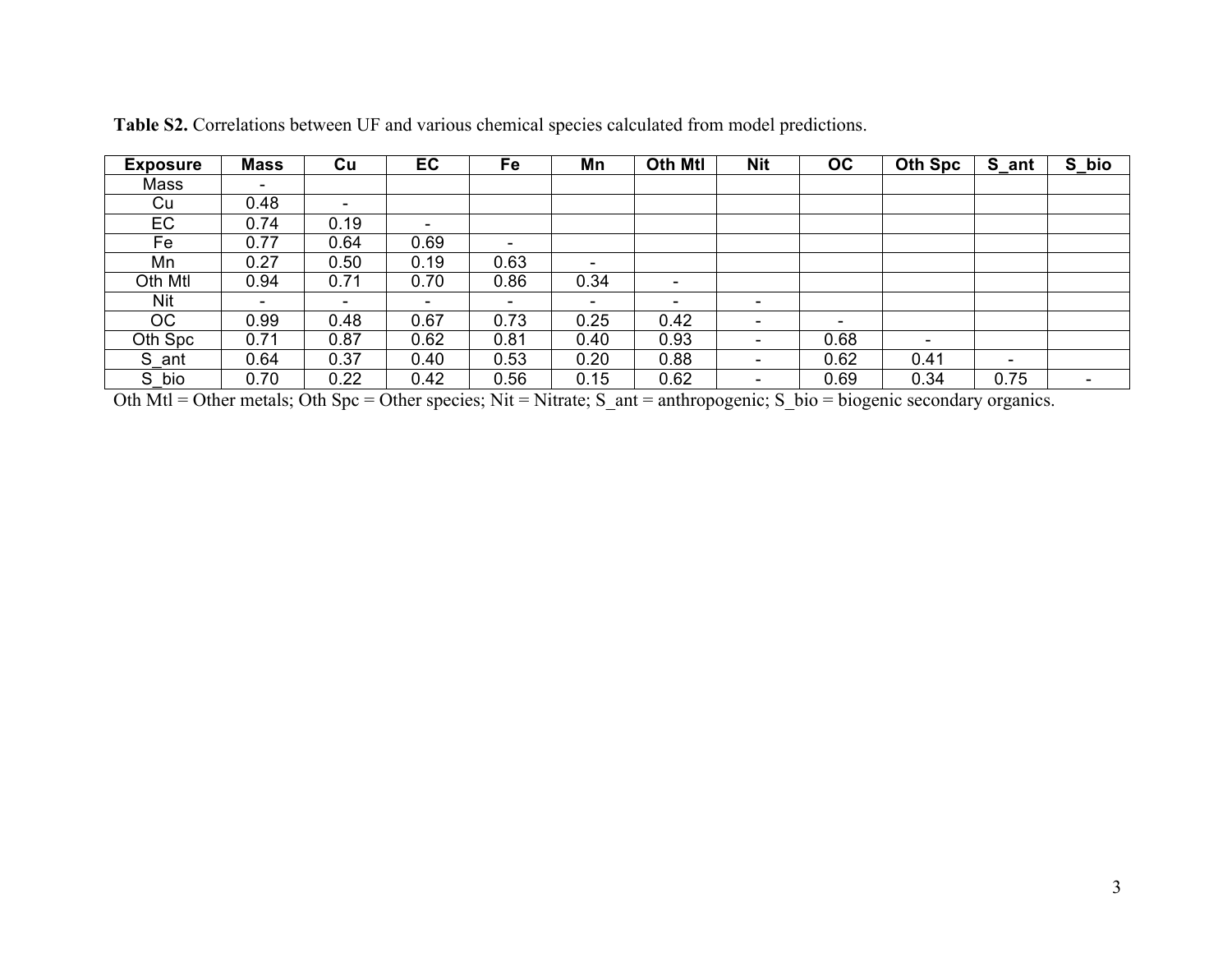| <b>Exposure</b> | <b>Mass</b>              | Cu                       | EC                       | Fe                       | Mn                       | <b>Oth Mtl</b>           | <b>Nit</b>               | <b>OC</b>                | Oth Spc | S_ant | S_bio |
|-----------------|--------------------------|--------------------------|--------------------------|--------------------------|--------------------------|--------------------------|--------------------------|--------------------------|---------|-------|-------|
| Mass            | -                        |                          |                          |                          |                          |                          |                          |                          |         |       |       |
| Cu              | 0.48                     | $\overline{\phantom{0}}$ |                          |                          |                          |                          |                          |                          |         |       |       |
| EC              | 0.74                     | 0.19                     | $\overline{\phantom{0}}$ |                          |                          |                          |                          |                          |         |       |       |
| Fe              | 0.77                     | 0.64                     | 0.69                     | $\overline{\phantom{0}}$ |                          |                          |                          |                          |         |       |       |
| Mn              | 0.27                     | 0.50                     | 0.19                     | 0.63                     | $\overline{\phantom{0}}$ |                          |                          |                          |         |       |       |
| Oth Mtl         | 0.94                     | 0.71                     | 0.70                     | 0.86                     | 0.34                     | $\overline{\phantom{a}}$ |                          |                          |         |       |       |
| Nit             | $\overline{\phantom{0}}$ | $\overline{\phantom{0}}$ | $\overline{\phantom{0}}$ | ۰                        | $\overline{\phantom{a}}$ | $\overline{\phantom{0}}$ | $\overline{\phantom{0}}$ |                          |         |       |       |
| OC              | 0.99                     | 0.48                     | 0.67                     | 0.73                     | 0.25                     | 0.42                     | $\overline{\phantom{a}}$ | $\overline{\phantom{a}}$ |         |       |       |
| Oth Spc         | 0.71                     | 0.87                     | 0.62                     | 0.81                     | 0.40                     | 0.93                     | $\overline{\phantom{a}}$ | 0.68                     |         |       |       |
| S ant           | 0.64                     | 0.37                     | 0.40                     | 0.53                     | 0.20                     | 0.88                     | $\overline{\phantom{a}}$ | 0.62                     | 0.41    | ۰     |       |
| S<br>bio        | 0.70                     | 0.22                     | 0.42                     | 0.56                     | 0.15                     | 0.62                     | $\overline{\phantom{a}}$ | 0.69                     | 0.34    | 0.75  |       |

**Table S2.** Correlations between UF and various chemical species calculated from model predictions.

Oth Mtl = Other metals; Oth Spc = Other species; Nit = Nitrate; S\_ant = anthropogenic; S\_bio = biogenic secondary organics.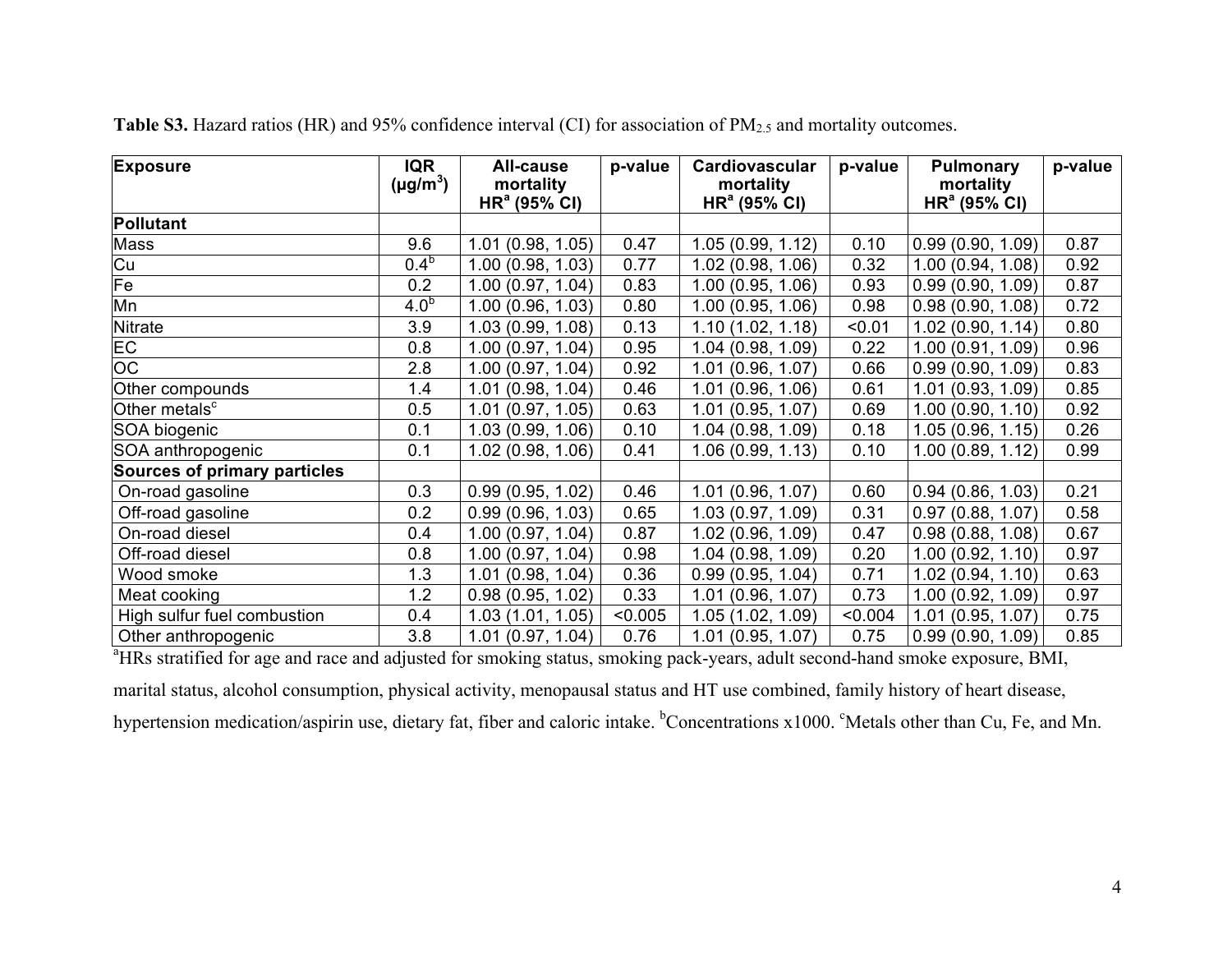| <b>Exposure</b>                                                                                                                          | <b>IQR</b><br>$(\mu g/m^3)$ | <b>All-cause</b><br>mortality | p-value | Cardiovascular<br>mortality | p-value | <b>Pulmonary</b><br>mortality | p-value |  |  |  |
|------------------------------------------------------------------------------------------------------------------------------------------|-----------------------------|-------------------------------|---------|-----------------------------|---------|-------------------------------|---------|--|--|--|
|                                                                                                                                          |                             | HR <sup>a</sup> (95% CI)      |         | HR <sup>a</sup> (95% CI)    |         | HR <sup>a</sup> (95% CI)      |         |  |  |  |
| <b>Pollutant</b>                                                                                                                         |                             |                               |         |                             |         |                               |         |  |  |  |
| Mass                                                                                                                                     | 9.6                         | 1.01 (0.98, 1.05)             | 0.47    | 1.05(0.99, 1.12)            | 0.10    | 0.99(0.90, 1.09)              | 0.87    |  |  |  |
| Cu                                                                                                                                       | 0.4 <sup>b</sup>            | 1.00 (0.98, 1.03)             | 0.77    | 1.02(0.98, 1.06)            | 0.32    | 1.00(0.94, 1.08)              | 0.92    |  |  |  |
| Fe                                                                                                                                       | 0.2                         | 1.00 (0.97, 1.04)             | 0.83    | 1.00(0.95, 1.06)            | 0.93    | 0.99(0.90, 1.09)              | 0.87    |  |  |  |
| Mn                                                                                                                                       | 4.0 <sup>b</sup>            | 1.00 (0.96, 1.03)             | 0.80    | 1.00(0.95, 1.06)            | 0.98    | 0.98(0.90, 1.08)              | 0.72    |  |  |  |
| <b>Nitrate</b>                                                                                                                           | 3.9                         | 1.03 (0.99, 1.08)             | 0.13    | 1.10(1.02, 1.18)            | < 0.01  | 1.02(0.90, 1.14)              | 0.80    |  |  |  |
| <b>EC</b>                                                                                                                                | 0.8                         | 1.00 (0.97, 1.04)             | 0.95    | 1.04(0.98, 1.09)            | 0.22    | 1.00(0.91, 1.09)              | 0.96    |  |  |  |
| OC                                                                                                                                       | 2.8                         | 1.00 (0.97, 1.04)             | 0.92    | 1.01(0.96, 1.07)            | 0.66    | 0.99(0.90, 1.09)              | 0.83    |  |  |  |
| Other compounds                                                                                                                          | 1.4                         | 1.01 (0.98, 1.04)             | 0.46    | 1.01(0.96, 1.06)            | 0.61    | 1.01(0.93, 1.09)              | 0.85    |  |  |  |
| Other metals <sup>c</sup>                                                                                                                | 0.5                         | 1.01 (0.97, 1.05)             | 0.63    | 1.01(0.95, 1.07)            | 0.69    | 1.00(0.90, 1.10)              | 0.92    |  |  |  |
| SOA biogenic                                                                                                                             | 0.1                         | 1.03 (0.99, 1.06)             | 0.10    | 1.04 (0.98, 1.09)           | 0.18    | 1.05(0.96, 1.15)              | 0.26    |  |  |  |
| SOA anthropogenic                                                                                                                        | 0.1                         | 1.02 (0.98, 1.06)             | 0.41    | 1.06(0.99, 1.13)            | 0.10    | 1.00(0.89, 1.12)              | 0.99    |  |  |  |
| <b>Sources of primary particles</b>                                                                                                      |                             |                               |         |                             |         |                               |         |  |  |  |
| On-road gasoline                                                                                                                         | 0.3                         | 0.99(0.95, 1.02)              | 0.46    | 1.01(0.96, 1.07)            | 0.60    | 0.94(0.86, 1.03)              | 0.21    |  |  |  |
| Off-road gasoline                                                                                                                        | 0.2                         | 0.99(0.96, 1.03)              | 0.65    | 1.03 (0.97, 1.09)           | 0.31    | 0.97(0.88, 1.07)              | 0.58    |  |  |  |
| On-road diesel                                                                                                                           | 0.4                         | 1.00 (0.97, 1.04)             | 0.87    | 1.02 (0.96, 1.09)           | 0.47    | 0.98(0.88, 1.08)              | 0.67    |  |  |  |
| Off-road diesel                                                                                                                          | 0.8                         | 1.00 (0.97, 1.04)             | 0.98    | 1.04(0.98, 1.09)            | 0.20    | 1.00(0.92, 1.10)              | 0.97    |  |  |  |
| Wood smoke                                                                                                                               | 1.3                         | 1.01 (0.98, 1.04)             | 0.36    | 0.99(0.95, 1.04)            | 0.71    | 1.02(0.94, 1.10)              | 0.63    |  |  |  |
| Meat cooking                                                                                                                             | 1.2                         | 0.98(0.95, 1.02)              | 0.33    | 1.01(0.96, 1.07)            | 0.73    | 1.00(0.92, 1.09)              | 0.97    |  |  |  |
| High sulfur fuel combustion                                                                                                              | 0.4                         | 1.03(1.01, 1.05)              | < 0.005 | 1.05(1.02, 1.09)            | < 0.004 | 1.01(0.95, 1.07)              | 0.75    |  |  |  |
| Other anthropogenic                                                                                                                      | 3.8                         | 1.01(0.97, 1.04)              | 0.76    | 1.01 (0.95, 1.07)           | 0.75    | 0.99(0.90, 1.09)              | 0.85    |  |  |  |
| <sup>a</sup> HRs stratified for age and race and adjusted for smoking status, smoking pack-years, adult second-hand smoke exposure, BMI, |                             |                               |         |                             |         |                               |         |  |  |  |

**Table S3.** Hazard ratios (HR) and 95% confidence interval (CI) for association of PM<sub>2.5</sub> and mortality outcomes.

marital status, alcohol consumption, physical activity, menopausal status and HT use combined, family history of heart disease, hypertension medication/aspirin use, dietary fat, fiber and caloric intake. <sup>b</sup>Concentrations x1000. <sup>c</sup>Metals other than Cu, Fe, and Mn.